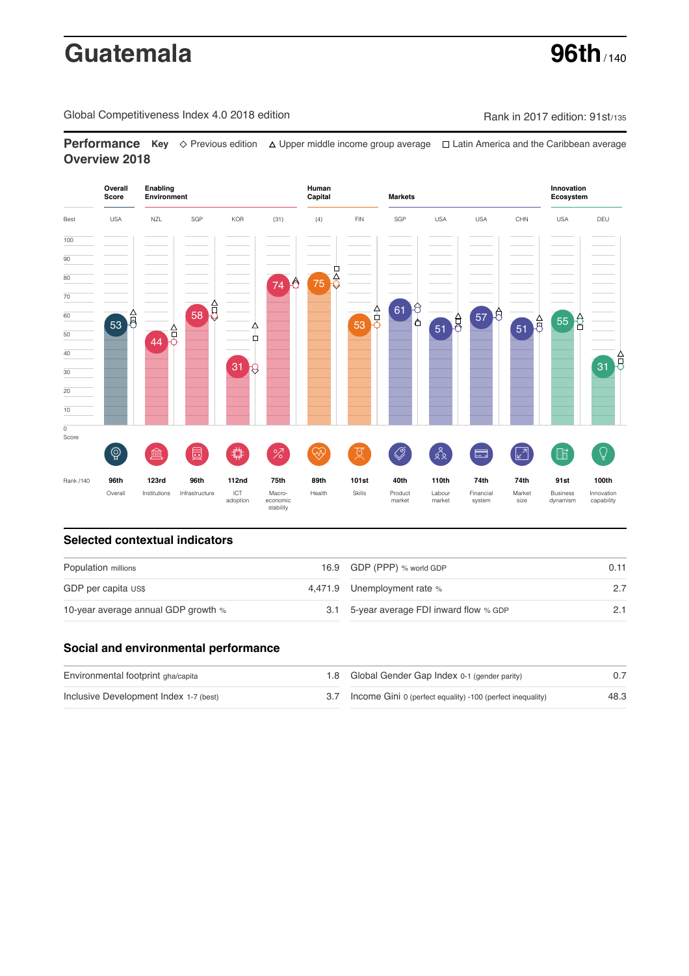# **Guatemala 96th** / 140

Global Competitiveness Index 4.0 2018 edition Company Company Rank in 2017 edition: 91st/135

**Performance** Key ◇ Previous edition △ Upper middle income group average □ Latin America and the Caribbean average **Overview 2018**



# **Selected contextual indicators**

| Population millions                 | 16.9 GDP (PPP) % world GDP               |  |  |
|-------------------------------------|------------------------------------------|--|--|
| GDP per capita US\$                 | 4,471.9 Unemployment rate %              |  |  |
| 10-year average annual GDP growth % | 3.1 5-year average FDI inward flow % GDP |  |  |

# **Social and environmental performance**

| Environmental footprint gha/capita     | 1.8 Global Gender Gap Index 0-1 (gender parity)                |      |
|----------------------------------------|----------------------------------------------------------------|------|
| Inclusive Development Index 1-7 (best) | 3.7 Income Gini 0 (perfect equality) -100 (perfect inequality) | 48.3 |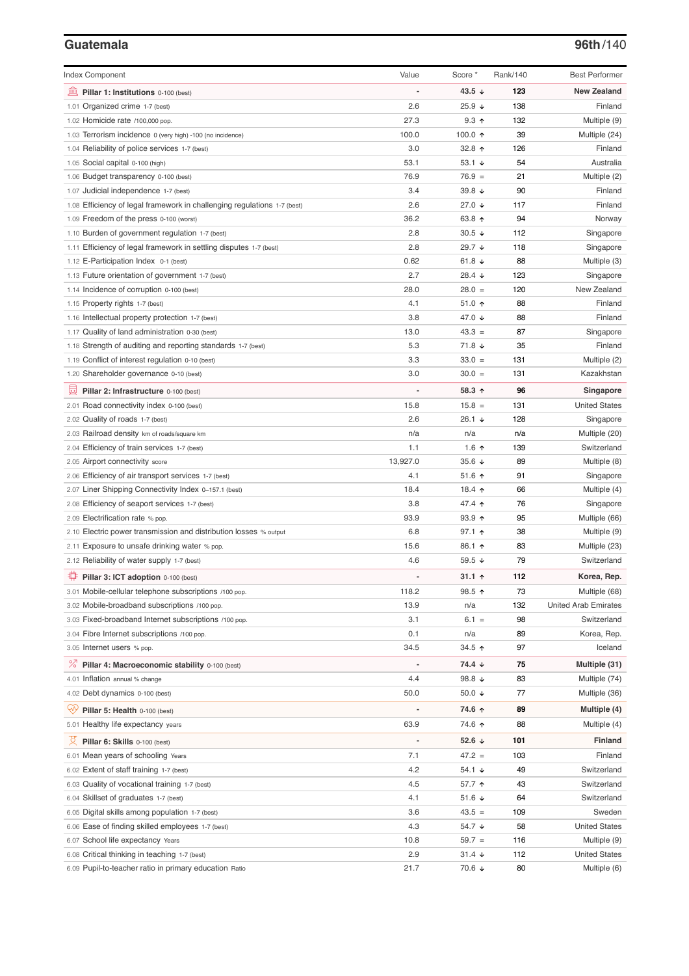# **Guatemala 96th**/140

| <b>Index Component</b>                                                   | Value          | Score *              | Rank/140 | <b>Best Performer</b>       |
|--------------------------------------------------------------------------|----------------|----------------------|----------|-----------------------------|
| 寙<br>Pillar 1: Institutions 0-100 (best)                                 |                | 43.5 $\sqrt{ }$      | 123      | <b>New Zealand</b>          |
| 1.01 Organized crime 1-7 (best)                                          | 2.6            | $25.9 +$             | 138      | Finland                     |
| 1.02 Homicide rate /100,000 pop.                                         | 27.3           | $9.3$ ↑              | 132      | Multiple (9)                |
| 1.03 Terrorism incidence 0 (very high) -100 (no incidence)               | 100.0          | 100.0 $\uparrow$     | 39       | Multiple (24)               |
| 1.04 Reliability of police services 1-7 (best)                           | 3.0            | 32.8 $\uparrow$      | 126      | Finland                     |
| 1.05 Social capital 0-100 (high)                                         | 53.1           | 53.1 $\sqrt{ }$      | 54       | Australia                   |
| 1.06 Budget transparency 0-100 (best)                                    | 76.9           | $76.9 =$             | 21       | Multiple (2)                |
| 1.07 Judicial independence 1-7 (best)                                    | 3.4            | 39.8 $\sqrt{ }$      | 90       | Finland                     |
| 1.08 Efficiency of legal framework in challenging regulations 1-7 (best) | 2.6            | 27.0 ↓               | 117      | Finland                     |
| 1.09 Freedom of the press 0-100 (worst)                                  | 36.2           | 63.8 ↑               | 94       | Norway                      |
| 1.10 Burden of government regulation 1-7 (best)                          | 2.8            | $30.5 +$             | 112      | Singapore                   |
| 1.11 Efficiency of legal framework in settling disputes 1-7 (best)       | 2.8            | 29.7 ↓               | 118      | Singapore                   |
| 1.12 E-Participation Index 0-1 (best)                                    | 0.62           | 61.8 $\sqrt{ }$      | 88       | Multiple (3)                |
| 1.13 Future orientation of government 1-7 (best)                         | 2.7            | 28.4 ↓               | 123      | Singapore                   |
| 1.14 Incidence of corruption 0-100 (best)                                | 28.0           | $28.0 =$             | 120      | New Zealand                 |
| 1.15 Property rights 1-7 (best)                                          | 4.1            | 51.0 个               | 88       | Finland                     |
| 1.16 Intellectual property protection 1-7 (best)                         | 3.8            | 47.0 ↓               | 88       | Finland                     |
| 1.17 Quality of land administration 0-30 (best)                          | 13.0           | $43.3 =$             | 87       | Singapore                   |
| 1.18 Strength of auditing and reporting standards 1-7 (best)             | 5.3            | 71.8 ↓               | 35       | Finland                     |
| 1.19 Conflict of interest regulation 0-10 (best)                         | 3.3            | $33.0 =$             | 131      | Multiple (2)                |
| 1.20 Shareholder governance 0-10 (best)                                  | 3.0            | $30.0 =$             | 131      | Kazakhstan                  |
| 員<br>Pillar 2: Infrastructure 0-100 (best)                               |                | 58.3 ↑               | 96       | Singapore                   |
| 2.01 Road connectivity index 0-100 (best)                                | 15.8           | $15.8 =$             | 131      | <b>United States</b>        |
| 2.02 Quality of roads 1-7 (best)                                         | 2.6            | 26.1 $\sqrt{ }$      | 128      | Singapore                   |
| 2.03 Railroad density km of roads/square km                              | n/a            | n/a                  | n/a      | Multiple (20)               |
| 2.04 Efficiency of train services 1-7 (best)                             | 1.1            | 1.6 $\uparrow$       | 139      | Switzerland                 |
| 2.05 Airport connectivity score                                          | 13,927.0       | 35.6 $\sqrt{ }$      | 89       | Multiple (8)                |
| 2.06 Efficiency of air transport services 1-7 (best)                     | 4.1            | 51.6 $\uparrow$      | 91       | Singapore                   |
| 2.07 Liner Shipping Connectivity Index 0-157.1 (best)                    | 18.4           | 18.4 ተ               | 66       | Multiple (4)                |
| 2.08 Efficiency of seaport services 1-7 (best)                           | 3.8            | 47.4 1               | 76       | Singapore                   |
| 2.09 Electrification rate % pop.                                         | 93.9           | $93.9$ 1             | 95       | Multiple (66)               |
| 2.10 Electric power transmission and distribution losses % output        | 6.8            | $97.1$ 1             | 38       | Multiple (9)                |
| 2.11 Exposure to unsafe drinking water % pop.                            | 15.6           | $86.1$ 1             | 83       | Multiple (23)               |
| 2.12 Reliability of water supply 1-7 (best)                              | 4.6            | 59.5 $\sqrt{ }$      | 79       | Switzerland                 |
| O<br>Pillar 3: ICT adoption 0-100 (best)                                 |                | 31.1 $\uparrow$      | 112      | Korea, Rep.                 |
| 3.01 Mobile-cellular telephone subscriptions /100 pop.                   | 118.2          | 98.5 ↑               | 73       | Multiple (68)               |
| 3.02 Mobile-broadband subscriptions /100 pop.                            | 13.9           | n/a                  | 132      | <b>United Arab Emirates</b> |
| 3.03 Fixed-broadband Internet subscriptions /100 pop.                    | 3.1            | $6.1 =$              | 98       | Switzerland                 |
| 3.04 Fibre Internet subscriptions /100 pop.                              | 0.1            | n/a                  | 89       | Korea, Rep.                 |
| 3.05 Internet users % pop.                                               | 34.5           | 34.5 ↑               | 97       | Iceland                     |
| ℅<br>Pillar 4: Macroeconomic stability 0-100 (best)                      | $\overline{a}$ | 74.4 ↓               | 75       | Multiple (31)               |
| 4.01 Inflation annual % change                                           | 4.4            | 98.8 $\sqrt{ }$      | 83       | Multiple (74)               |
| 4.02 Debt dynamics 0-100 (best)                                          | 50.0           | 50.0 $\sqrt{ }$      | 77       | Multiple (36)               |
| Qv<br>Pillar 5: Health 0-100 (best)                                      |                | 74.6 ↑               | 89       | Multiple (4)                |
| 5.01 Healthy life expectancy years                                       | 63.9           | 74.6 ↑               | 88       | Multiple (4)                |
| 섯<br>Pillar 6: Skills 0-100 (best)                                       | $\overline{a}$ | 52.6 $\sqrt{ }$      | 101      | Finland                     |
| 6.01 Mean years of schooling Years                                       | 7.1            | $47.2 =$             | 103      | Finland                     |
| 6.02 Extent of staff training 1-7 (best)                                 | 4.2            | 54.1 ↓               | 49       | Switzerland                 |
| 6.03 Quality of vocational training 1-7 (best)                           | 4.5            | 57.7 ↑               | 43       | Switzerland                 |
| 6.04 Skillset of graduates 1-7 (best)                                    | 4.1            | 51.6 ↓               | 64       | Switzerland                 |
| 6.05 Digital skills among population 1-7 (best)                          | 3.6            | $43.5 =$             | 109      | Sweden                      |
| 6.06 Ease of finding skilled employees 1-7 (best)                        | 4.3            | 54.7 ↓               | 58       | <b>United States</b>        |
| 6.07 School life expectancy Years                                        | 10.8           | $59.7 =$             | 116      | Multiple (9)                |
| 6.08 Critical thinking in teaching 1-7 (best)                            | 2.9            | $31.4 \; \downarrow$ | 112      | <b>United States</b>        |
| 6.09 Pupil-to-teacher ratio in primary education Ratio                   | 21.7           | 70.6 ↓               | 80       | Multiple (6)                |